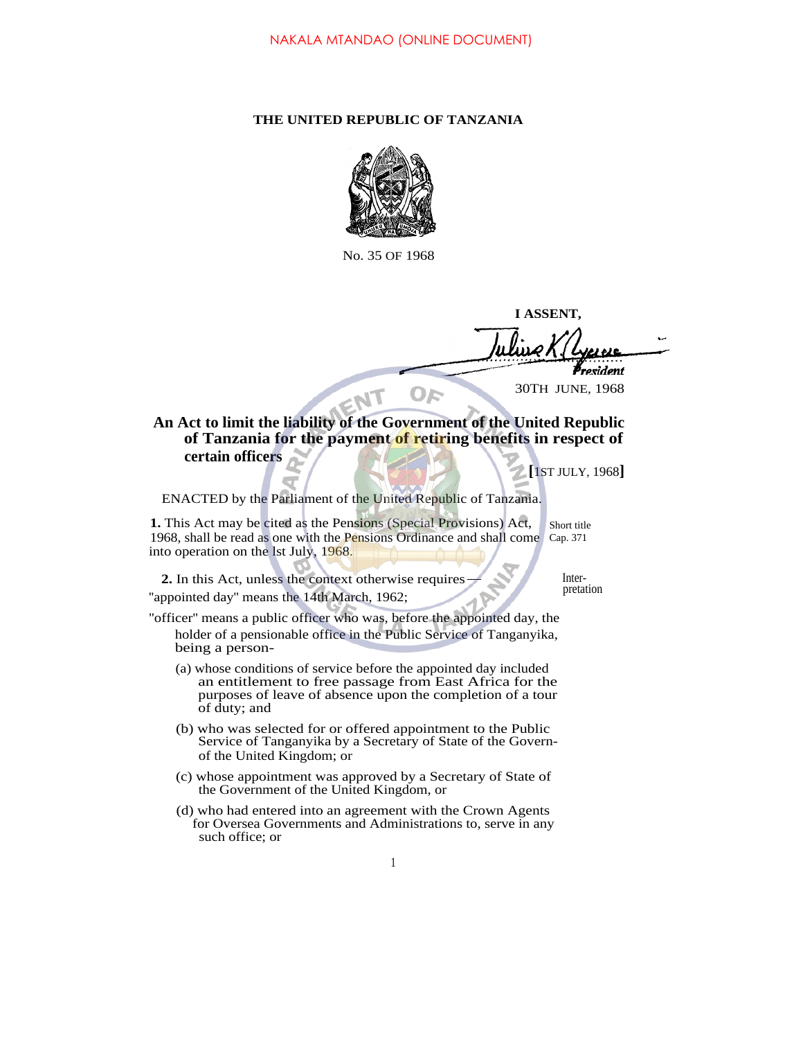## **THE UNITED REPUBLIC OF TANZANIA**



No. 35 OF 1968

**I ASSENT,**

resident 30TH JUNE, 1968

**An Act to limit the liability of the Government of the United Republic of Tanzania for the payment of retiring benefits in respect of certain officers**

**[**1ST JULY, 1968**]**

ENACTED by the Parliament of the United Republic of Tanzania.

EN

**1.** This Act may be cited as the Pensions (Special Provisions) Act, 1968, shall be read as one with the Pensions Ordinance and shall come Cap. 371 into operation on the lst July, 1968.

Short title

**2.** In this Act, unless the context otherwise requires  $\frac{1}{\sqrt{1-\frac{1}{n}}}$  Inter-"appointed day" means the 14th March, 1962;

- ''officer'' means a public officer who was, before the appointed day, the holder of a pensionable office in the Public Service of Tanganyika, being a person-
	- (a) whose conditions of service before the appointed day included an entitlement to free passage from East Africa for the purposes of leave of absence upon the completion of a tour of duty; and
	- (b) who was selected for or offered appointment to the Public Service of Tanganyika by a Secretary of State of the Governof the United Kingdom; or
	- (c) whose appointment was approved by a Secretary of State of the Government of the United Kingdom, or
	- (d) who had entered into an agreement with the Crown Agents for Oversea Governments and Administrations to, serve in any such office; or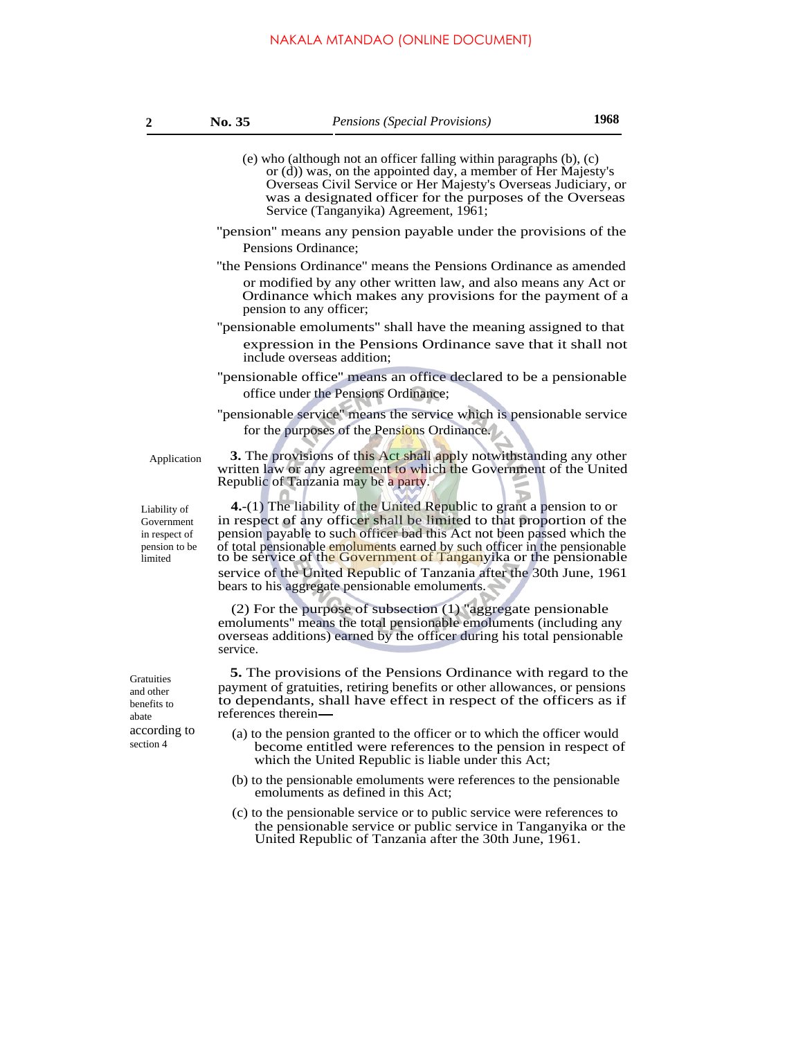- (e) who (although not an officer falling within paragraphs (b), (c) or (d)) was, on the appointed day, a member of Her Majesty's Overseas Civil Service or Her Majesty's Overseas Judiciary, or was a designated officer for the purposes of the Overseas Service (Tanganyika) Agreement, 1961;
- ''pension'' means any pension payable under the provisions of the Pensions Ordinance;
- ''the Pensions Ordinance'' means the Pensions Ordinance as amended or modified by any other written law, and also means any Act or Ordinance which makes any provisions for the payment of a pension to any officer;
- ''pensionable emoluments'' shall have the meaning assigned to that expression in the Pensions Ordinance save that it shall not include overseas addition;
- ''pensionable office'' means an office declared to be a pensionable office under the Pensions Ordinance;
- ''pensionable service'' means the service which is pensionable service for the purposes of the Pensions Ordinance.

Application

**3.** The provisions of this Act shall apply notwithstanding any other written law or any agreement to which the Government of the United Republic of Tanzania may be a party.

Liability of Government in respect of pension to be limited

**4.**-(1) The liability of the United Republic to grant a pension to or in respect of any officer shall be limited to that proportion of the pension payable to such officer bad this Act not been passed which the of total pensionable emoluments earned by such officer in the pensionable to be service of the Government of Tanganyika or the pensionable service of the United Republic of Tanzania after the 30th June, 1961 bears to his aggregate pensionable emoluments.

(2) For the purpose of subsection (1) ''aggregate pensionable emoluments'' means the total pensionable emoluments (including any overseas additions) earned by the officer during his total pensionable service.

**5.** The provisions of the Pensions Ordinance with regard to the payment of gratuities, retiring benefits or other allowances, or pensions to dependants, shall have effect in respect of the officers as if references therein

- (a) to the pension granted to the officer or to which the officer would become entitled were references to the pension in respect of which the United Republic is liable under this Act;
- (b) to the pensionable emoluments were references to the pensionable emoluments as defined in this Act;
- (c) to the pensionable service or to public service were references to the pensionable service or public service in Tanganyika or the United Republic of Tanzania after the 30th June, 1961.

**Gratuities** and other benefits to abate according to section 4